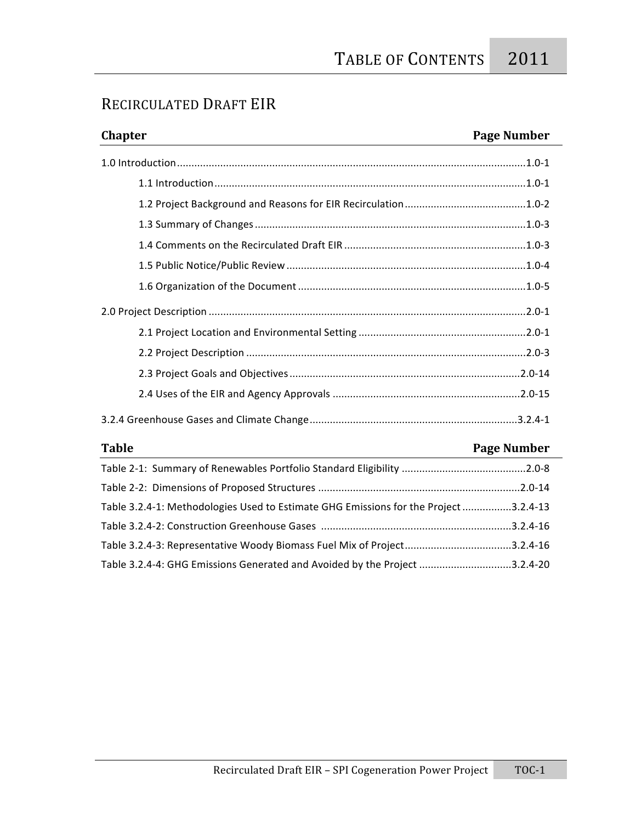### RECIRCULATED
DRAFT
EIR

# **Chapter Page Number** 1.0
Introduction.........................................................................................................................1.0‐1 1.1
Introduction............................................................................................................1.0‐1 1.2
Project
Background
and
Reasons
for
EIR
Recirculation..........................................1.0‐2 1.3
Summary
of
Changes..............................................................................................1.0‐3 1.4
Comments
on
the
Recirculated
Draft
EIR ...............................................................1.0‐3 1.5
Public
Notice/Public
Review ...................................................................................1.0‐4 1.6
Organization
of
the
Document...............................................................................1.0‐5 2.0
Project
Description ..............................................................................................................2.0‐1 2.1
Project
Location
and
Environmental
Setting ..........................................................2.0‐1 2.2
Project
Description .................................................................................................2.0‐3 2.3
Project
Goals
and
Objectives................................................................................2.0‐14 2.4
Uses
of
the
EIR
and
Agency
Approvals .................................................................2.0‐15 3.2.4
Greenhouse
Gases
and
Climate
Change........................................................................3.2.4‐1

## **Table Page Number** Table
2‐1:

Summary
of
Renewables
Portfolio
Standard
Eligibility ...........................................2.0‐8 Table
2‐2:

Dimensions
of
Proposed
Structures ......................................................................2.0‐14 Table
3.2.4‐1:
Methodologies
Used
to
Estimate
GHG
Emissions
for
the
Project.................3.2.4‐13 Table
3.2.4‐2:
Construction
Greenhouse
Gases ..................................................................3.2.4‐16 Table
3.2.4‐3:
Representative
Woody
Biomass
Fuel
Mix
of
Project.....................................3.2.4‐16 Table
3.2.4‐4:
GHG
Emissions
Generated
and
Avoided
by
the
Project ................................3.2.4‐20